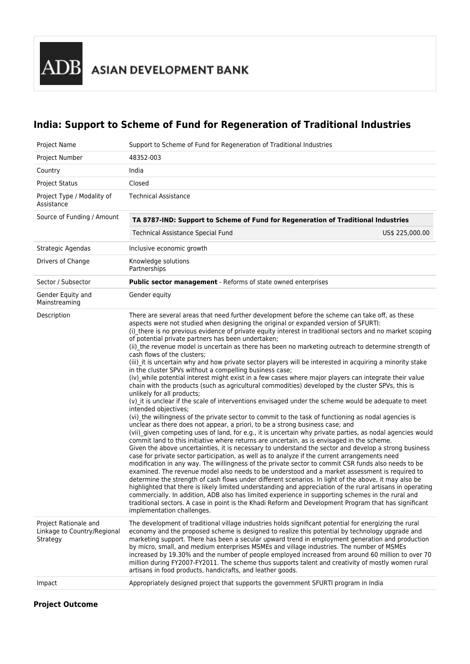**ADB** ASIAN DEVELOPMENT BANK

# **India: Support to Scheme of Fund for Regeneration of Traditional Industries**

| Project Name                                                     | Support to Scheme of Fund for Regeneration of Traditional Industries                                                                                                                                                                                                                                                                                                                                                                                                                                                                                                                                                                                                                                                                                                                                                                                                                                                                                                                                                                                                                                                                                                                                                                                                                                                                                                                                                                                                                                                                                                                                                                                                                                                                                                                                                                                                                                                                                                                                                                                                                                                                                                                                                                                                                                                                            |
|------------------------------------------------------------------|-------------------------------------------------------------------------------------------------------------------------------------------------------------------------------------------------------------------------------------------------------------------------------------------------------------------------------------------------------------------------------------------------------------------------------------------------------------------------------------------------------------------------------------------------------------------------------------------------------------------------------------------------------------------------------------------------------------------------------------------------------------------------------------------------------------------------------------------------------------------------------------------------------------------------------------------------------------------------------------------------------------------------------------------------------------------------------------------------------------------------------------------------------------------------------------------------------------------------------------------------------------------------------------------------------------------------------------------------------------------------------------------------------------------------------------------------------------------------------------------------------------------------------------------------------------------------------------------------------------------------------------------------------------------------------------------------------------------------------------------------------------------------------------------------------------------------------------------------------------------------------------------------------------------------------------------------------------------------------------------------------------------------------------------------------------------------------------------------------------------------------------------------------------------------------------------------------------------------------------------------------------------------------------------------------------------------------------------------|
| Project Number                                                   | 48352-003                                                                                                                                                                                                                                                                                                                                                                                                                                                                                                                                                                                                                                                                                                                                                                                                                                                                                                                                                                                                                                                                                                                                                                                                                                                                                                                                                                                                                                                                                                                                                                                                                                                                                                                                                                                                                                                                                                                                                                                                                                                                                                                                                                                                                                                                                                                                       |
| Country                                                          | India                                                                                                                                                                                                                                                                                                                                                                                                                                                                                                                                                                                                                                                                                                                                                                                                                                                                                                                                                                                                                                                                                                                                                                                                                                                                                                                                                                                                                                                                                                                                                                                                                                                                                                                                                                                                                                                                                                                                                                                                                                                                                                                                                                                                                                                                                                                                           |
| <b>Project Status</b>                                            | Closed                                                                                                                                                                                                                                                                                                                                                                                                                                                                                                                                                                                                                                                                                                                                                                                                                                                                                                                                                                                                                                                                                                                                                                                                                                                                                                                                                                                                                                                                                                                                                                                                                                                                                                                                                                                                                                                                                                                                                                                                                                                                                                                                                                                                                                                                                                                                          |
| Project Type / Modality of<br>Assistance                         | <b>Technical Assistance</b>                                                                                                                                                                                                                                                                                                                                                                                                                                                                                                                                                                                                                                                                                                                                                                                                                                                                                                                                                                                                                                                                                                                                                                                                                                                                                                                                                                                                                                                                                                                                                                                                                                                                                                                                                                                                                                                                                                                                                                                                                                                                                                                                                                                                                                                                                                                     |
| Source of Funding / Amount                                       | TA 8787-IND: Support to Scheme of Fund for Regeneration of Traditional Industries                                                                                                                                                                                                                                                                                                                                                                                                                                                                                                                                                                                                                                                                                                                                                                                                                                                                                                                                                                                                                                                                                                                                                                                                                                                                                                                                                                                                                                                                                                                                                                                                                                                                                                                                                                                                                                                                                                                                                                                                                                                                                                                                                                                                                                                               |
|                                                                  | <b>Technical Assistance Special Fund</b><br>US\$ 225,000.00                                                                                                                                                                                                                                                                                                                                                                                                                                                                                                                                                                                                                                                                                                                                                                                                                                                                                                                                                                                                                                                                                                                                                                                                                                                                                                                                                                                                                                                                                                                                                                                                                                                                                                                                                                                                                                                                                                                                                                                                                                                                                                                                                                                                                                                                                     |
| Strategic Agendas                                                | Inclusive economic growth                                                                                                                                                                                                                                                                                                                                                                                                                                                                                                                                                                                                                                                                                                                                                                                                                                                                                                                                                                                                                                                                                                                                                                                                                                                                                                                                                                                                                                                                                                                                                                                                                                                                                                                                                                                                                                                                                                                                                                                                                                                                                                                                                                                                                                                                                                                       |
| Drivers of Change                                                | Knowledge solutions<br>Partnerships                                                                                                                                                                                                                                                                                                                                                                                                                                                                                                                                                                                                                                                                                                                                                                                                                                                                                                                                                                                                                                                                                                                                                                                                                                                                                                                                                                                                                                                                                                                                                                                                                                                                                                                                                                                                                                                                                                                                                                                                                                                                                                                                                                                                                                                                                                             |
| Sector / Subsector                                               | <b>Public sector management</b> - Reforms of state owned enterprises                                                                                                                                                                                                                                                                                                                                                                                                                                                                                                                                                                                                                                                                                                                                                                                                                                                                                                                                                                                                                                                                                                                                                                                                                                                                                                                                                                                                                                                                                                                                                                                                                                                                                                                                                                                                                                                                                                                                                                                                                                                                                                                                                                                                                                                                            |
| Gender Equity and<br>Mainstreaming                               | Gender equity                                                                                                                                                                                                                                                                                                                                                                                                                                                                                                                                                                                                                                                                                                                                                                                                                                                                                                                                                                                                                                                                                                                                                                                                                                                                                                                                                                                                                                                                                                                                                                                                                                                                                                                                                                                                                                                                                                                                                                                                                                                                                                                                                                                                                                                                                                                                   |
| Description                                                      | There are several areas that need further development before the scheme can take off, as these<br>aspects were not studied when designing the original or expanded version of SFURTI:<br>(i) there is no previous evidence of private equity interest in traditional sectors and no market scoping<br>of potential private partners has been undertaken;<br>(ii) the revenue model is uncertain as there has been no marketing outreach to determine strength of<br>cash flows of the clusters;<br>(iii) it is uncertain why and how private sector players will be interested in acquiring a minority stake<br>in the cluster SPVs without a compelling business case;<br>(iv) while potential interest might exist in a few cases where major players can integrate their value<br>chain with the products (such as agricultural commodities) developed by the cluster SPVs, this is<br>unlikely for all products;<br>(v) it is unclear if the scale of interventions envisaged under the scheme would be adequate to meet<br>intended objectives;<br>(vi) the willingness of the private sector to commit to the task of functioning as nodal agencies is<br>unclear as there does not appear, a priori, to be a strong business case; and<br>(vii) given competing uses of land, for e.g., it is uncertain why private parties, as nodal agencies would<br>commit land to this initiative where returns are uncertain, as is envisaged in the scheme.<br>Given the above uncertainties, it is necessary to understand the sector and develop a strong business<br>case for private sector participation, as well as to analyze if the current arrangements need<br>modification in any way. The willingness of the private sector to commit CSR funds also needs to be<br>examined. The revenue model also needs to be understood and a market assessment is required to<br>determine the strength of cash flows under different scenarios. In light of the above, it may also be<br>highlighted that there is likely limited understanding and appreciation of the rural artisans in operating<br>commercially. In addition, ADB also has limited experience in supporting schemes in the rural and<br>traditional sectors. A case in point is the Khadi Reform and Development Program that has significant<br>implementation challenges. |
| Project Rationale and<br>Linkage to Country/Regional<br>Strategy | The development of traditional village industries holds significant potential for energizing the rural<br>economy and the proposed scheme is designed to realize this potential by technology upgrade and<br>marketing support. There has been a secular upward trend in employment generation and production<br>by micro, small, and medium enterprises MSMEs and village industries. The number of MSMEs<br>increased by 19.30% and the number of people employed increased from around 60 million to over 70<br>million during FY2007-FY2011. The scheme thus supports talent and creativity of mostly women rural<br>artisans in food products, handicrafts, and leather goods.                                                                                                                                                                                                                                                                                                                                                                                                                                                                                                                                                                                                                                                                                                                                                                                                                                                                                                                                                                                                                                                                                                                                                                                                                                                                                                                                                                                                                                                                                                                                                                                                                                                             |
| Impact                                                           | Appropriately designed project that supports the government SFURTI program in India                                                                                                                                                                                                                                                                                                                                                                                                                                                                                                                                                                                                                                                                                                                                                                                                                                                                                                                                                                                                                                                                                                                                                                                                                                                                                                                                                                                                                                                                                                                                                                                                                                                                                                                                                                                                                                                                                                                                                                                                                                                                                                                                                                                                                                                             |
|                                                                  |                                                                                                                                                                                                                                                                                                                                                                                                                                                                                                                                                                                                                                                                                                                                                                                                                                                                                                                                                                                                                                                                                                                                                                                                                                                                                                                                                                                                                                                                                                                                                                                                                                                                                                                                                                                                                                                                                                                                                                                                                                                                                                                                                                                                                                                                                                                                                 |

# **Project Outcome**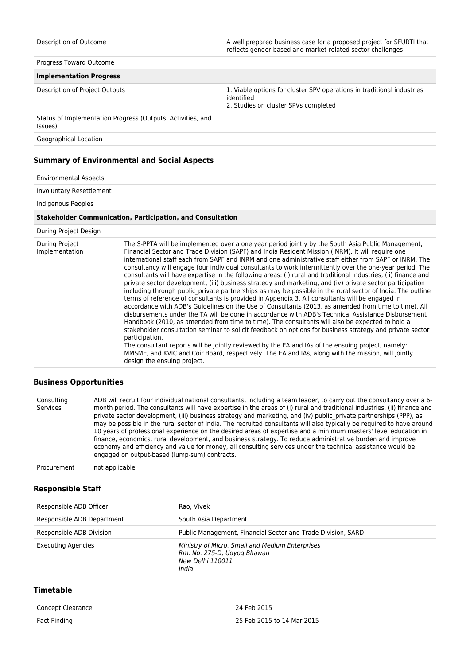Progress Toward Outcome

#### **Implementation Progress**

Description of Project Outputs 1. Viable options for cluster SPV operations in traditional industries identified

2. Studies on cluster SPVs completed

Status of Implementation Progress (Outputs, Activities, and Issues)

Geographical Location

## **Summary of Environmental and Social Aspects**

#### Environmental Aspects

Involuntary Resettlement

Indigenous Peoples

#### **Stakeholder Communication, Participation, and Consultation**

#### During Project Design

| During Project<br>Implementation | The S-PPTA will be implemented over a one year period jointly by the South Asia Public Management,<br>Financial Sector and Trade Division (SAPF) and India Resident Mission (INRM). It will require one<br>international staff each from SAPF and INRM and one administrative staff either from SAPF or INRM. The<br>consultancy will engage four individual consultants to work intermittently over the one-year period. The<br>consultants will have expertise in the following areas: (i) rural and traditional industries, (ii) finance and<br>private sector development, (iii) business strategy and marketing, and (iv) private sector participation<br>including through public private partnerships as may be possible in the rural sector of India. The outline<br>terms of reference of consultants is provided in Appendix 3. All consultants will be engaged in<br>accordance with ADB's Guidelines on the Use of Consultants (2013, as amended from time to time). All<br>disbursements under the TA will be done in accordance with ADB's Technical Assistance Disbursement<br>Handbook (2010, as amended from time to time). The consultants will also be expected to hold a<br>stakeholder consultation seminar to solicit feedback on options for business strategy and private sector<br>participation.<br>The consultant reports will be jointly reviewed by the EA and IAs of the ensuing project, namely:<br>MMSME, and KVIC and Coir Board, respectively. The EA and IAs, along with the mission, will jointly<br>design the ensuing project. |
|----------------------------------|----------------------------------------------------------------------------------------------------------------------------------------------------------------------------------------------------------------------------------------------------------------------------------------------------------------------------------------------------------------------------------------------------------------------------------------------------------------------------------------------------------------------------------------------------------------------------------------------------------------------------------------------------------------------------------------------------------------------------------------------------------------------------------------------------------------------------------------------------------------------------------------------------------------------------------------------------------------------------------------------------------------------------------------------------------------------------------------------------------------------------------------------------------------------------------------------------------------------------------------------------------------------------------------------------------------------------------------------------------------------------------------------------------------------------------------------------------------------------------------------------------------------------------------------------------------------|
|----------------------------------|----------------------------------------------------------------------------------------------------------------------------------------------------------------------------------------------------------------------------------------------------------------------------------------------------------------------------------------------------------------------------------------------------------------------------------------------------------------------------------------------------------------------------------------------------------------------------------------------------------------------------------------------------------------------------------------------------------------------------------------------------------------------------------------------------------------------------------------------------------------------------------------------------------------------------------------------------------------------------------------------------------------------------------------------------------------------------------------------------------------------------------------------------------------------------------------------------------------------------------------------------------------------------------------------------------------------------------------------------------------------------------------------------------------------------------------------------------------------------------------------------------------------------------------------------------------------|

## **Business Opportunities**

| Consulting<br>Services | ADB will recruit four individual national consultants, including a team leader, to carry out the consultancy over a 6-<br>month period. The consultants will have expertise in the areas of (i) rural and traditional industries, (ii) finance and<br>private sector development, (iii) business strategy and marketing, and (iv) public private partnerships (PPP), as<br>may be possible in the rural sector of India. The recruited consultants will also typically be required to have around<br>10 years of professional experience on the desired areas of expertise and a minimum masters' level education in<br>finance, economics, rural development, and business strategy. To reduce administrative burden and improve<br>economy and efficiency and value for money, all consulting services under the technical assistance would be |
|------------------------|--------------------------------------------------------------------------------------------------------------------------------------------------------------------------------------------------------------------------------------------------------------------------------------------------------------------------------------------------------------------------------------------------------------------------------------------------------------------------------------------------------------------------------------------------------------------------------------------------------------------------------------------------------------------------------------------------------------------------------------------------------------------------------------------------------------------------------------------------|
|                        | engaged on output-based (lump-sum) contracts.                                                                                                                                                                                                                                                                                                                                                                                                                                                                                                                                                                                                                                                                                                                                                                                                    |
|                        |                                                                                                                                                                                                                                                                                                                                                                                                                                                                                                                                                                                                                                                                                                                                                                                                                                                  |

Procurement not applicable

### **Responsible Staff**

| Responsible ADB Officer    | Rao, Vivek                                                                                                         |
|----------------------------|--------------------------------------------------------------------------------------------------------------------|
| Responsible ADB Department | South Asia Department                                                                                              |
| Responsible ADB Division   | Public Management, Financial Sector and Trade Division, SARD                                                       |
| <b>Executing Agencies</b>  | Ministry of Micro, Small and Medium Enterprises<br>Rm. No. 275-D, Udyog Bhawan<br><b>New Delhi 110011</b><br>India |

## **Timetable**

| Concept Clearance | 24 Feb 2015                |
|-------------------|----------------------------|
| Fact Finding      | 25 Feb 2015 to 14 Mar 2015 |